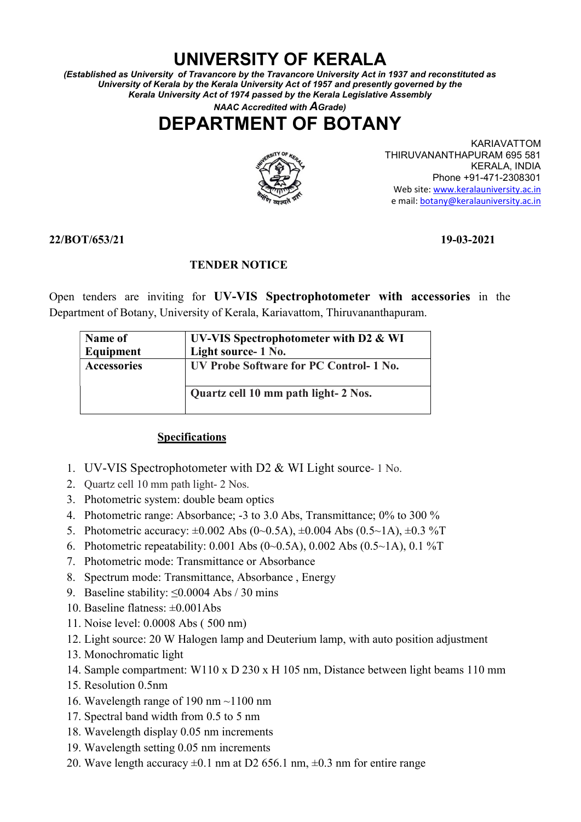## UNIVERSITY OF KERALA

(Established as University of Travancore by the Travancore University Act in 1937 and reconstituted as University of Kerala by the Kerala University Act of 1957 and presently governed by the Kerala University Act of 1974 passed by the Kerala Legislative Assembly

NAAC Accredited with AGrade)

# DEPARTMENT OF BOTANY



KARIAVATTOM THIRUVANANTHAPURAM 695 581 KERALA, INDIA Phone +91-471-2308301 Web site: www.keralauniversity.ac.in e mail: botany@keralauniversity.ac.in

### 22/BOT/653/21 19-03-2021

### TENDER NOTICE

Open tenders are inviting for UV-VIS Spectrophotometer with accessories in the Department of Botany, University of Kerala, Kariavattom, Thiruvananthapuram.

| Name of<br>Equipment | UV-VIS Spectrophotometer with D2 & WI<br>Light source-1 No. |
|----------------------|-------------------------------------------------------------|
| <b>Accessories</b>   | UV Probe Software for PC Control- 1 No.                     |
|                      | Quartz cell 10 mm path light- 2 Nos.                        |

### Specifications

- 1. UV-VIS Spectrophotometer with D2 & WI Light source- 1 No.
- 2. Quartz cell 10 mm path light- 2 Nos.
- 3. Photometric system: double beam optics
- 4. Photometric range: Absorbance; -3 to 3.0 Abs, Transmittance; 0% to 300 %
- 5. Photometric accuracy:  $\pm 0.002$  Abs (0~0.5A),  $\pm 0.004$  Abs (0.5~1A),  $\pm 0.3$  %T
- 6. Photometric repeatability: 0.001 Abs (0~0.5A), 0.002 Abs (0.5~1A), 0.1 %T
- 7. Photometric mode: Transmittance or Absorbance
- 8. Spectrum mode: Transmittance, Absorbance , Energy
- 9. Baseline stability: ≤0.0004 Abs / 30 mins
- 10. Baseline flatness: ±0.001Abs
- 11. Noise level: 0.0008 Abs ( 500 nm)
- 12. Light source: 20 W Halogen lamp and Deuterium lamp, with auto position adjustment
- 13. Monochromatic light
- 14. Sample compartment: W110 x D 230 x H 105 nm, Distance between light beams 110 mm
- 15. Resolution 0.5nm
- 16. Wavelength range of 190 nm ~1100 nm
- 17. Spectral band width from 0.5 to 5 nm
- 18. Wavelength display 0.05 nm increments
- 19. Wavelength setting 0.05 nm increments
- 20. Wave length accuracy  $\pm 0.1$  nm at D2 656.1 nm,  $\pm 0.3$  nm for entire range